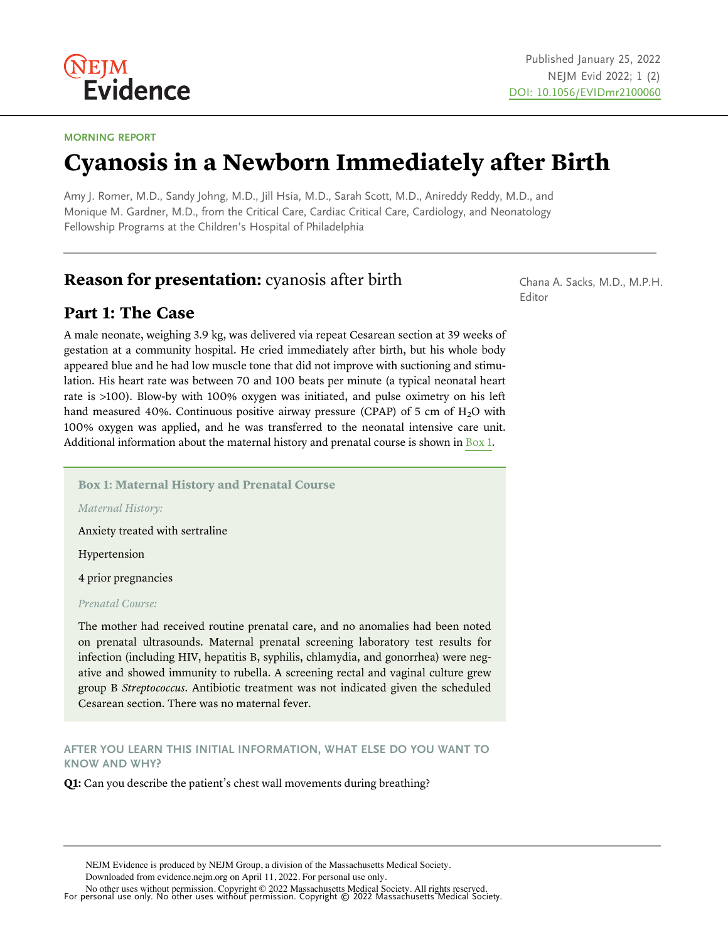

#### MORNING REPORT

# Cyanosis in a Newborn Immediately after Birth

Amy J. Romer, M.D., Sandy Johng, M.D., Jill Hsia, M.D., Sarah Scott, M.D., Anireddy Reddy, M.D., and Monique M. Gardner, M.D., from the Critical Care, Cardiac Critical Care, Cardiology, and Neonatology Fellowship Programs at the Children's Hospital of Philadelphia

# Reason for presentation: cyanosis after birth

# Part 1: The Case

A male neonate, weighing 3.9 kg, was delivered via repeat Cesarean section at 39 weeks of gestation at a community hospital. He cried immediately after birth, but his whole body appeared blue and he had low muscle tone that did not improve with suctioning and stimulation. His heart rate was between 70 and 100 beats per minute (a typical neonatal heart rate is >100). Blow-by with 100% oxygen was initiated, and pulse oximetry on his left hand measured 40%. Continuous positive airway pressure (CPAP) of 5 cm of  $H_2O$  with 100% oxygen was applied, and he was transferred to the neonatal intensive care unit. Additional information about the maternal history and prenatal course is shown in  $Box 1$ .

Box 1: Maternal History and Prenatal Course

Maternal History:

Anxiety treated with sertraline

Hypertension

4 prior pregnancies

Prenatal Course:

The mother had received routine prenatal care, and no anomalies had been noted on prenatal ultrasounds. Maternal prenatal screening laboratory test results for infection (including HIV, hepatitis B, syphilis, chlamydia, and gonorrhea) were negative and showed immunity to rubella. A screening rectal and vaginal culture grew group B Streptococcus. Antibiotic treatment was not indicated given the scheduled Cesarean section. There was no maternal fever.

AFTER YOU LEARN THIS INITIAL INFORMATION, WHAT ELSE DO YOU WANT TO KNOW AND WHY?

Q1: Can you describe the patient's chest wall movements during breathing?

NEJM Evidence is produced by NEJM Group, a division of the Massachusetts Medical Society.

Downloaded from evidence.nejm.org on April 11, 2022. For personal use only.

For personal use only. No other uses without permission. Copyright © 2022 Massachusetts Medical Society. No other uses without permission. Copyright © 2022 Massachusetts Medical Society. All rights reserved.

Chana A. Sacks, M.D., M.P.H. Editor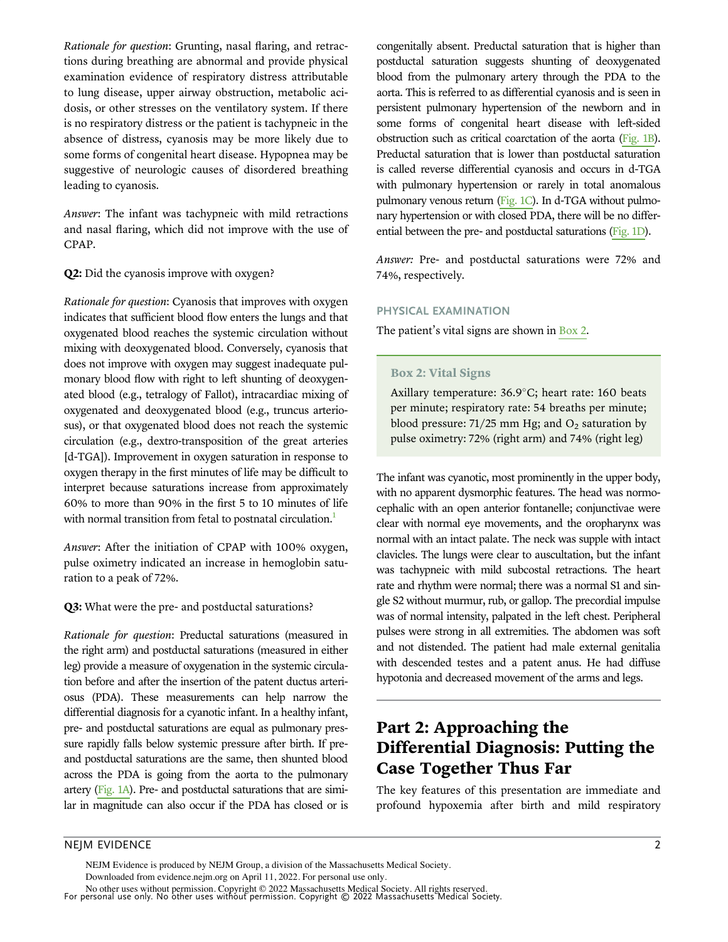Rationale for question: Grunting, nasal flaring, and retractions during breathing are abnormal and provide physical examination evidence of respiratory distress attributable to lung disease, upper airway obstruction, metabolic acidosis, or other stresses on the ventilatory system. If there is no respiratory distress or the patient is tachypneic in the absence of distress, cyanosis may be more likely due to some forms of congenital heart disease. Hypopnea may be suggestive of neurologic causes of disordered breathing leading to cyanosis.

Answer: The infant was tachypneic with mild retractions and nasal flaring, which did not improve with the use of CPAP.

Q2: Did the cyanosis improve with oxygen?

Rationale for question: Cyanosis that improves with oxygen indicates that sufficient blood flow enters the lungs and that oxygenated blood reaches the systemic circulation without mixing with deoxygenated blood. Conversely, cyanosis that does not improve with oxygen may suggest inadequate pulmonary blood flow with right to left shunting of deoxygenated blood (e.g., tetralogy of Fallot), intracardiac mixing of oxygenated and deoxygenated blood (e.g., truncus arteriosus), or that oxygenated blood does not reach the systemic circulation (e.g., dextro-transposition of the great arteries [d-TGA]). Improvement in oxygen saturation in response to oxygen therapy in the first minutes of life may be difficult to interpret because saturations increase from approximately 60% to more than 90% in the first 5 to 10 minutes of life with normal transition from fetal to postnatal circulation.<sup>1</sup>

Answer: After the initiation of CPAP with 100% oxygen, pulse oximetry indicated an increase in hemoglobin saturation to a peak of 72%.

Q3: What were the pre- and postductal saturations?

Rationale for question: Preductal saturations (measured in the right arm) and postductal saturations (measured in either leg) provide a measure of oxygenation in the systemic circulation before and after the insertion of the patent ductus arteriosus (PDA). These measurements can help narrow the differential diagnosis for a cyanotic infant. In a healthy infant, pre- and postductal saturations are equal as pulmonary pressure rapidly falls below systemic pressure after birth. If preand postductal saturations are the same, then shunted blood across the PDA is going from the aorta to the pulmonary artery (Fig. 1A). Pre- and postductal saturations that are similar in magnitude can also occur if the PDA has closed or is congenitally absent. Preductal saturation that is higher than postductal saturation suggests shunting of deoxygenated blood from the pulmonary artery through the PDA to the aorta. This is referred to as differential cyanosis and is seen in persistent pulmonary hypertension of the newborn and in some forms of congenital heart disease with left-sided obstruction such as critical coarctation of the aorta (Fig. 1B). Preductal saturation that is lower than postductal saturation is called reverse differential cyanosis and occurs in d-TGA with pulmonary hypertension or rarely in total anomalous pulmonary venous return (Fig. 1C). In d-TGA without pulmonary hypertension or with closed PDA, there will be no differential between the pre- and postductal saturations (Fig. 1D).

Answer: Pre- and postductal saturations were 72% and 74%, respectively.

#### PHYSICAL EXAMINATION

The patient's vital signs are shown in Box 2.

#### Box 2: Vital Signs

Axillary temperature:  $36.9^{\circ}$ C; heart rate: 160 beats per minute; respiratory rate: 54 breaths per minute; blood pressure: 71/25 mm Hg; and  $O_2$  saturation by pulse oximetry: 72% (right arm) and 74% (right leg)

The infant was cyanotic, most prominently in the upper body, with no apparent dysmorphic features. The head was normocephalic with an open anterior fontanelle; conjunctivae were clear with normal eye movements, and the oropharynx was normal with an intact palate. The neck was supple with intact clavicles. The lungs were clear to auscultation, but the infant was tachypneic with mild subcostal retractions. The heart rate and rhythm were normal; there was a normal S1 and single S2 without murmur, rub, or gallop. The precordial impulse was of normal intensity, palpated in the left chest. Peripheral pulses were strong in all extremities. The abdomen was soft and not distended. The patient had male external genitalia with descended testes and a patent anus. He had diffuse hypotonia and decreased movement of the arms and legs.

# Part 2: Approaching the Differential Diagnosis: Putting the Case Together Thus Far

The key features of this presentation are immediate and profound hypoxemia after birth and mild respiratory

# NEJM EVIDENCE 2

For personal use only. No other uses without permission. Copyright © 2022 Massachusetts Medical Society. No other uses without permission. Copyright © 2022 Massachusetts Medical Society. All rights reserved. NEJM Evidence is produced by NEJM Group, a division of the Massachusetts Medical Society. Downloaded from evidence.nejm.org on April 11, 2022. For personal use only.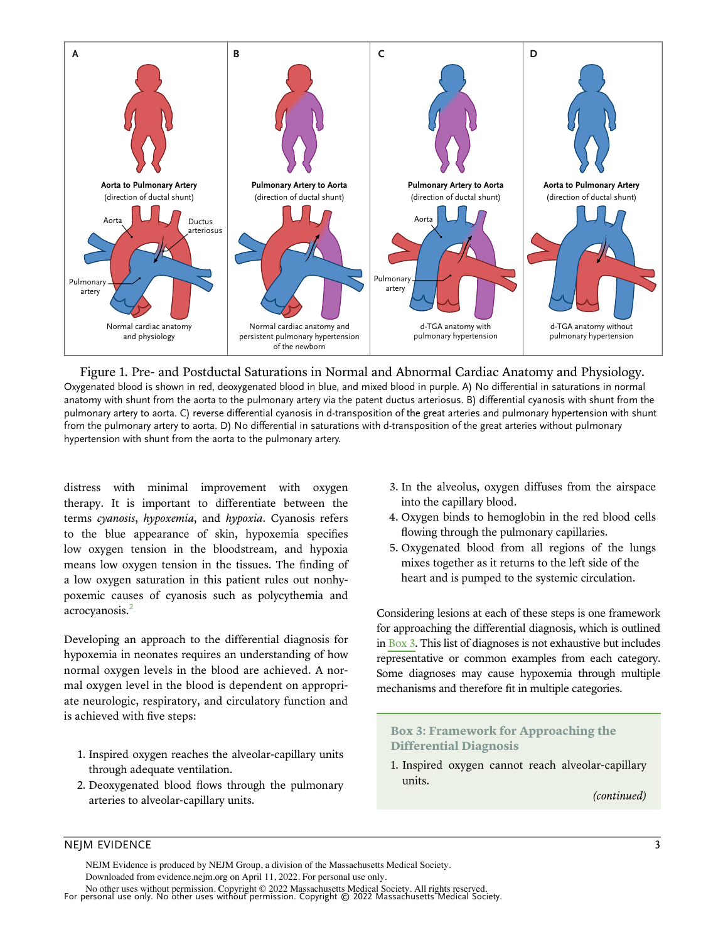

Figure 1. Pre- and Postductal Saturations in Normal and Abnormal Cardiac Anatomy and Physiology. Oxygenated blood is shown in red, deoxygenated blood in blue, and mixed blood in purple. A) No differential in saturations in normal anatomy with shunt from the aorta to the pulmonary artery via the patent ductus arteriosus. B) differential cyanosis with shunt from the pulmonary artery to aorta. C) reverse differential cyanosis in d-transposition of the great arteries and pulmonary hypertension with shunt from the pulmonary artery to aorta. D) No differential in saturations with d-transposition of the great arteries without pulmonary hypertension with shunt from the aorta to the pulmonary artery.

distress with minimal improvement with oxygen therapy. It is important to differentiate between the terms cyanosis, hypoxemia, and hypoxia. Cyanosis refers to the blue appearance of skin, hypoxemia specifies low oxygen tension in the bloodstream, and hypoxia means low oxygen tension in the tissues. The finding of a low oxygen saturation in this patient rules out nonhypoxemic causes of cyanosis such as polycythemia and acrocyanosis.<sup>2</sup>

Developing an approach to the differential diagnosis for hypoxemia in neonates requires an understanding of how normal oxygen levels in the blood are achieved. A normal oxygen level in the blood is dependent on appropriate neurologic, respiratory, and circulatory function and is achieved with five steps:

- 1. Inspired oxygen reaches the alveolar-capillary units through adequate ventilation.
- 2. Deoxygenated blood flows through the pulmonary arteries to alveolar-capillary units.
- 3. In the alveolus, oxygen diffuses from the airspace into the capillary blood.
- 4. Oxygen binds to hemoglobin in the red blood cells flowing through the pulmonary capillaries.
- 5. Oxygenated blood from all regions of the lungs mixes together as it returns to the left side of the heart and is pumped to the systemic circulation.

Considering lesions at each of these steps is one framework for approaching the differential diagnosis, which is outlined in Box 3. This list of diagnoses is not exhaustive but includes representative or common examples from each category. Some diagnoses may cause hypoxemia through multiple mechanisms and therefore fit in multiple categories.

# Box 3: Framework for Approaching the Differential Diagnosis

1. Inspired oxygen cannot reach alveolar-capillary units.

(continued)

# NEJM EVIDENCE 3

NEJM Evidence is produced by NEJM Group, a division of the Massachusetts Medical Society. Downloaded from evidence.nejm.org on April 11, 2022. For personal use only.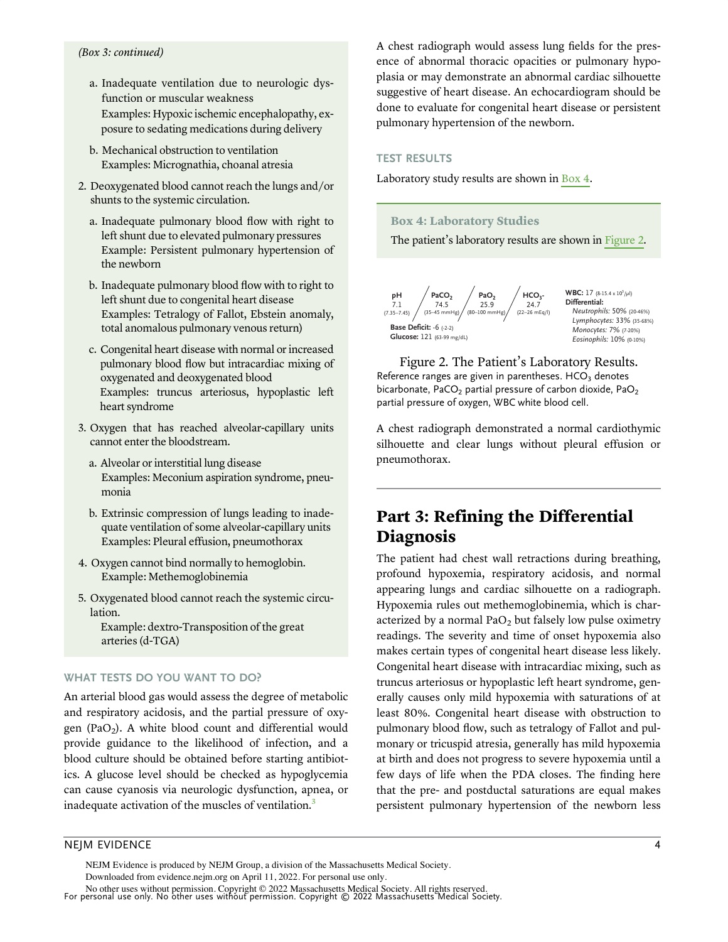#### (Box 3: continued)

- a. Inadequate ventilation due to neurologic dysfunction or muscular weakness Examples: Hypoxic ischemic encephalopathy, exposure to sedating medications during delivery
- b. Mechanical obstruction to ventilation Examples: Micrognathia, choanal atresia
- 2. Deoxygenated blood cannot reach the lungs and/or shunts to the systemic circulation.
	- a. Inadequate pulmonary blood flow with right to left shunt due to elevated pulmonary pressures Example: Persistent pulmonary hypertension of the newborn
	- b. Inadequate pulmonary blood flow with to right to left shunt due to congenital heart disease Examples: Tetralogy of Fallot, Ebstein anomaly, total anomalous pulmonary venous return)
	- c. Congenital heart disease with normal or increased pulmonary blood flow but intracardiac mixing of oxygenated and deoxygenated blood Examples: truncus arteriosus, hypoplastic left heart syndrome
- 3. Oxygen that has reached alveolar-capillary units cannot enter the bloodstream.
	- a. Alveolar or interstitial lung disease Examples: Meconium aspiration syndrome, pneumonia
	- b. Extrinsic compression of lungs leading to inadequate ventilation of some alveolar-capillary units Examples: Pleural effusion, pneumothorax
- 4. Oxygen cannot bind normally to hemoglobin. Example: Methemoglobinemia
- 5. Oxygenated blood cannot reach the systemic circulation.

Example: dextro-Transposition of the great arteries (d-TGA)

#### WHAT TESTS DO YOU WANT TO DO?

An arterial blood gas would assess the degree of metabolic and respiratory acidosis, and the partial pressure of oxygen (PaO<sub>2</sub>). A white blood count and differential would provide guidance to the likelihood of infection, and a blood culture should be obtained before starting antibiotics. A glucose level should be checked as hypoglycemia can cause cyanosis via neurologic dysfunction, apnea, or inadequate activation of the muscles of ventilation.<sup>3</sup>

A chest radiograph would assess lung fields for the presence of abnormal thoracic opacities or pulmonary hypoplasia or may demonstrate an abnormal cardiac silhouette suggestive of heart disease. An echocardiogram should be done to evaluate for congenital heart disease or persistent pulmonary hypertension of the newborn.

#### TEST RESULTS

Laboratory study results are shown in Box 4.

#### Box 4: Laboratory Studies

The patient's laboratory results are shown in Figure 2.



**WBC:** 17  $(8-15.4 \times 10^3/\mu)$ **Differential:** *Neutrophils:* 50% (20-46%) *Lymphocytes:* 33% (35-68%) *Monocytes:* 7% (7-20%) *Eosinophils:* 10% (0-10%)

Figure 2. The Patient's Laboratory Results. Reference ranges are given in parentheses.  $HCO<sub>3</sub>$  denotes bicarbonate, PaCO<sub>2</sub> partial pressure of carbon dioxide, PaO<sub>2</sub> partial pressure of oxygen, WBC white blood cell.

A chest radiograph demonstrated a normal cardiothymic silhouette and clear lungs without pleural effusion or pneumothorax.

# Part 3: Refining the Differential Diagnosis

The patient had chest wall retractions during breathing, profound hypoxemia, respiratory acidosis, and normal appearing lungs and cardiac silhouette on a radiograph. Hypoxemia rules out methemoglobinemia, which is characterized by a normal  $PaO<sub>2</sub>$  but falsely low pulse oximetry readings. The severity and time of onset hypoxemia also makes certain types of congenital heart disease less likely. Congenital heart disease with intracardiac mixing, such as truncus arteriosus or hypoplastic left heart syndrome, generally causes only mild hypoxemia with saturations of at least 80%. Congenital heart disease with obstruction to pulmonary blood flow, such as tetralogy of Fallot and pulmonary or tricuspid atresia, generally has mild hypoxemia at birth and does not progress to severe hypoxemia until a few days of life when the PDA closes. The finding here that the pre- and postductal saturations are equal makes persistent pulmonary hypertension of the newborn less

# NEJM EVIDENCE 4

NEJM Evidence is produced by NEJM Group, a division of the Massachusetts Medical Society. Downloaded from evidence.nejm.org on April 11, 2022. For personal use only.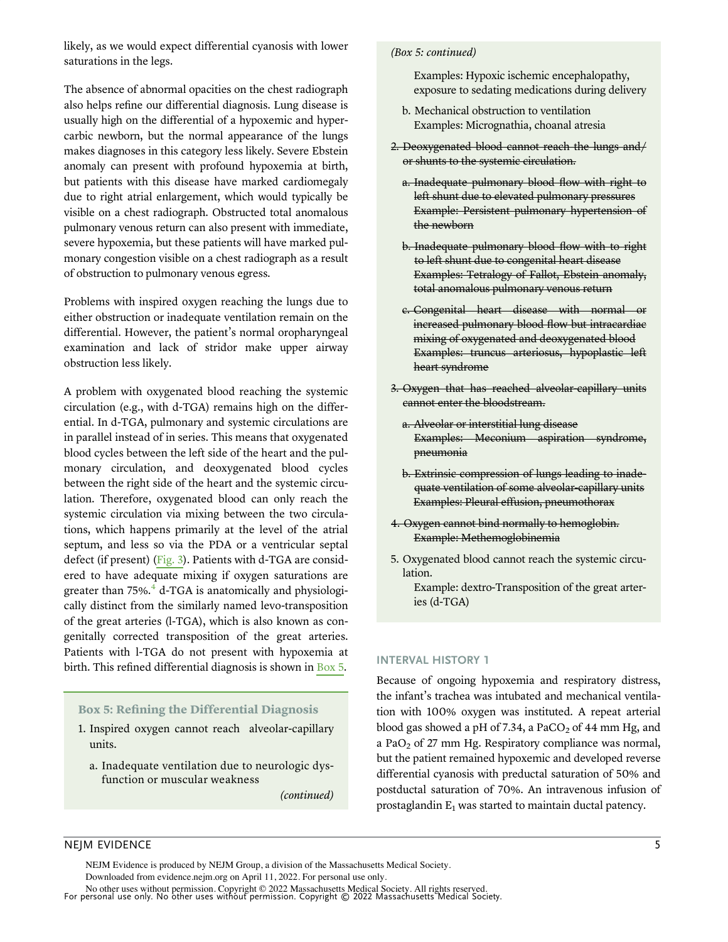likely, as we would expect differential cyanosis with lower saturations in the legs.

The absence of abnormal opacities on the chest radiograph also helps refine our differential diagnosis. Lung disease is usually high on the differential of a hypoxemic and hypercarbic newborn, but the normal appearance of the lungs makes diagnoses in this category less likely. Severe Ebstein anomaly can present with profound hypoxemia at birth, but patients with this disease have marked cardiomegaly due to right atrial enlargement, which would typically be visible on a chest radiograph. Obstructed total anomalous pulmonary venous return can also present with immediate, severe hypoxemia, but these patients will have marked pulmonary congestion visible on a chest radiograph as a result of obstruction to pulmonary venous egress.

Problems with inspired oxygen reaching the lungs due to either obstruction or inadequate ventilation remain on the differential. However, the patient's normal oropharyngeal examination and lack of stridor make upper airway obstruction less likely.

A problem with oxygenated blood reaching the systemic circulation (e.g., with d-TGA) remains high on the differential. In d-TGA, pulmonary and systemic circulations are in parallel instead of in series. This means that oxygenated blood cycles between the left side of the heart and the pulmonary circulation, and deoxygenated blood cycles between the right side of the heart and the systemic circulation. Therefore, oxygenated blood can only reach the systemic circulation via mixing between the two circulations, which happens primarily at the level of the atrial septum, and less so via the PDA or a ventricular septal defect (if present) (Fig. 3). Patients with d-TGA are considered to have adequate mixing if oxygen saturations are greater than  $75\%$ .<sup>4</sup> d-TGA is anatomically and physiologically distinct from the similarly named levo-transposition of the great arteries (l-TGA), which is also known as congenitally corrected transposition of the great arteries. Patients with l-TGA do not present with hypoxemia at birth. This refined differential diagnosis is shown in Box 5.

# Box 5: Refining the Differential Diagnosis

- 1. Inspired oxygen cannot reach alveolar-capillary units.
	- a. Inadequate ventilation due to neurologic dysfunction or muscular weakness

(continued)

#### (Box 5: continued)

- Examples: Hypoxic ischemic encephalopathy, exposure to sedating medications during delivery
- b. Mechanical obstruction to ventilation Examples: Micrognathia, choanal atresia
- 2. Deoxygenated blood cannot reach the lungs and/ or shunts to the systemic circulation.
	- a. Inadequate pulmonary blood flow with right to left shunt due to elevated pulmonary pressures Example: Persistent pulmonary hypertension of the newborn
	- b. Inadequate pulmonary blood flow with to right to left shunt due to congenital heart disease Examples: Tetralogy of Fallot, Ebstein anomaly, total anomalous pulmonary venous return
	- c. Congenital heart disease with normal or increased pulmonary blood flow but intracardiac mixing of oxygenated and deoxygenated blood Examples: truncus arteriosus, hypoplastic left heart syndrome
- 3. Oxygen that has reached alveolar-capillary units cannot enter the bloodstream.
	- a. Alveolar or interstitial lung disease Examples: Meconium aspiration syndrome, pneumonia
	- b. Extrinsic compression of lungs leading to inadequate ventilation of some alveolar-capillary units Examples: Pleural effusion, pneumothorax
- 4. Oxygen cannot bind normally to hemoglobin. Example: Methemoglobinemia
- 5. Oxygenated blood cannot reach the systemic circulation.
	- Example: dextro-Transposition of the great arteries (d-TGA)

## INTERVAL HISTORY 1

Because of ongoing hypoxemia and respiratory distress, the infant's trachea was intubated and mechanical ventilation with 100% oxygen was instituted. A repeat arterial blood gas showed a pH of 7.34, a PaCO<sub>2</sub> of 44 mm Hg, and a PaO<sub>2</sub> of 27 mm Hg. Respiratory compliance was normal, but the patient remained hypoxemic and developed reverse differential cyanosis with preductal saturation of 50% and postductal saturation of 70%. An intravenous infusion of prostaglandin  $E_1$  was started to maintain ductal patency.

# NEJM EVIDENCE 5

NEJM Evidence is produced by NEJM Group, a division of the Massachusetts Medical Society. Downloaded from evidence.nejm.org on April 11, 2022. For personal use only.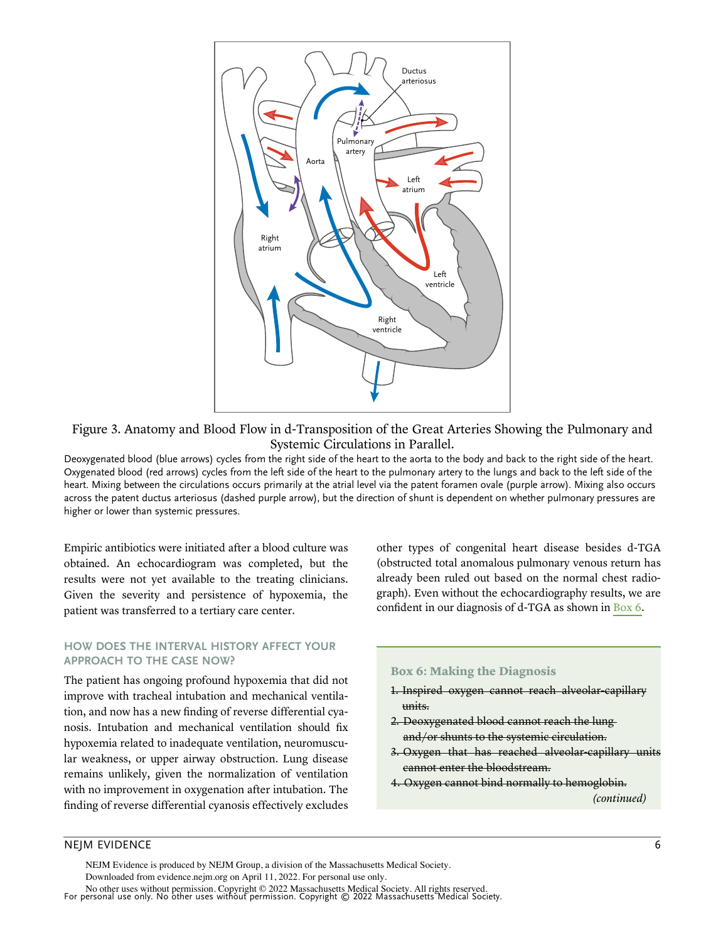

Figure 3. Anatomy and Blood Flow in d-Transposition of the Great Arteries Showing the Pulmonary and Systemic Circulations in Parallel.

Deoxygenated blood (blue arrows) cycles from the right side of the heart to the aorta to the body and back to the right side of the heart. Oxygenated blood (red arrows) cycles from the left side of the heart to the pulmonary artery to the lungs and back to the left side of the heart. Mixing between the circulations occurs primarily at the atrial level via the patent foramen ovale (purple arrow). Mixing also occurs across the patent ductus arteriosus (dashed purple arrow), but the direction of shunt is dependent on whether pulmonary pressures are higher or lower than systemic pressures.

Empiric antibiotics were initiated after a blood culture was obtained. An echocardiogram was completed, but the results were not yet available to the treating clinicians. Given the severity and persistence of hypoxemia, the patient was transferred to a tertiary care center.

# HOW DOES THE INTERVAL HISTORY AFFECT YOUR APPROACH TO THE CASE NOW?

The patient has ongoing profound hypoxemia that did not improve with tracheal intubation and mechanical ventilation, and now has a new finding of reverse differential cyanosis. Intubation and mechanical ventilation should fix hypoxemia related to inadequate ventilation, neuromuscular weakness, or upper airway obstruction. Lung disease remains unlikely, given the normalization of ventilation with no improvement in oxygenation after intubation. The finding of reverse differential cyanosis effectively excludes other types of congenital heart disease besides d-TGA (obstructed total anomalous pulmonary venous return has already been ruled out based on the normal chest radiograph). Even without the echocardiography results, we are confident in our diagnosis of d-TGA as shown in Box 6.

### Box 6: Making the Diagnosis

- 1. Inspired oxygen cannot reach alveolar-capillary units.
- 2. Deoxygenated blood cannot reach the lung and/or shunts to the systemic circulation.
- 3. Oxygen that has reached alveolar-capillary units cannot enter the bloodstream.
- 4. Oxygen cannot bind normally to hemoglobin. (continued)

# NEJM EVIDENCE 6

For personal use only. No other uses without permission. Copyright © 2022 Massachusetts Medical Society. No other uses without permission. Copyright © 2022 Massachusetts Medical Society. All rights reserved. NEJM Evidence is produced by NEJM Group, a division of the Massachusetts Medical Society. Downloaded from evidence.nejm.org on April 11, 2022. For personal use only.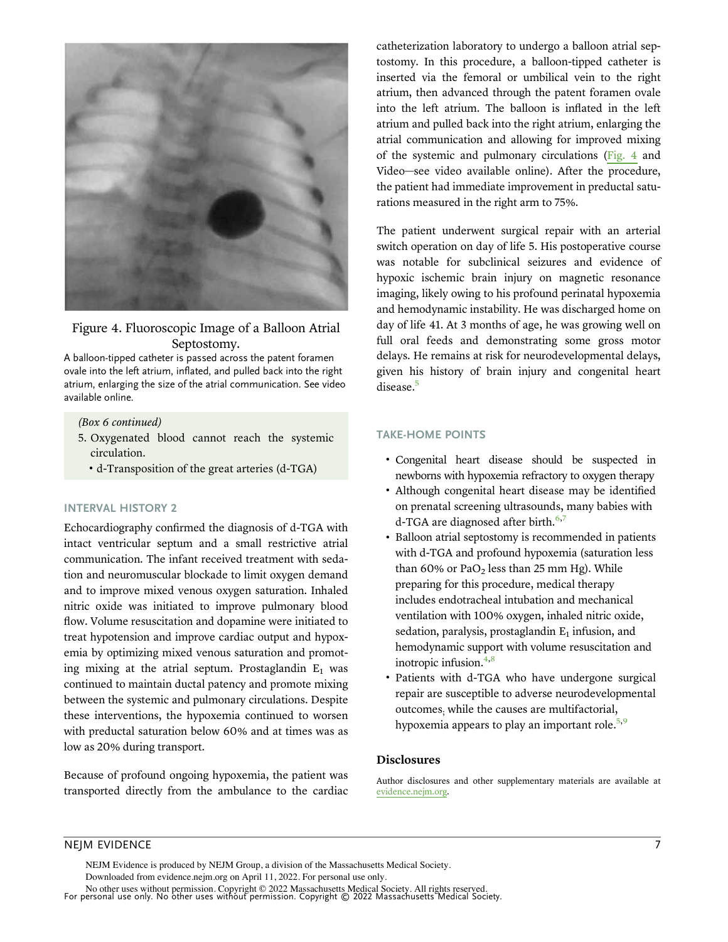

# Figure 4. Fluoroscopic Image of a Balloon Atrial Septostomy.

A balloon-tipped catheter is passed across the patent foramen ovale into the left atrium, inflated, and pulled back into the right atrium, enlarging the size of the atrial communication. See video available online.

#### (Box 6 continued)

- 5. Oxygenated blood cannot reach the systemic circulation.
	- " d-Transposition of the great arteries (d-TGA)

#### INTERVAL HISTORY 2

Echocardiography confirmed the diagnosis of d-TGA with intact ventricular septum and a small restrictive atrial communication. The infant received treatment with sedation and neuromuscular blockade to limit oxygen demand and to improve mixed venous oxygen saturation. Inhaled nitric oxide was initiated to improve pulmonary blood flow. Volume resuscitation and dopamine were initiated to treat hypotension and improve cardiac output and hypoxemia by optimizing mixed venous saturation and promoting mixing at the atrial septum. Prostaglandin  $E_1$  was continued to maintain ductal patency and promote mixing between the systemic and pulmonary circulations. Despite these interventions, the hypoxemia continued to worsen with preductal saturation below 60% and at times was as low as 20% during transport.

Because of profound ongoing hypoxemia, the patient was transported directly from the ambulance to the cardiac catheterization laboratory to undergo a balloon atrial septostomy. In this procedure, a balloon-tipped catheter is inserted via the femoral or umbilical vein to the right atrium, then advanced through the patent foramen ovale into the left atrium. The balloon is inflated in the left atrium and pulled back into the right atrium, enlarging the atrial communication and allowing for improved mixing of the systemic and pulmonary circulations (Fig. 4 and Video—see video available online). After the procedure, the patient had immediate improvement in preductal saturations measured in the right arm to 75%.

The patient underwent surgical repair with an arterial switch operation on day of life 5. His postoperative course was notable for subclinical seizures and evidence of hypoxic ischemic brain injury on magnetic resonance imaging, likely owing to his profound perinatal hypoxemia and hemodynamic instability. He was discharged home on day of life 41. At 3 months of age, he was growing well on full oral feeds and demonstrating some gross motor delays. He remains at risk for neurodevelopmental delays, given his history of brain injury and congenital heart disease.<sup>5</sup>

### TAKE-HOME POINTS

- " Congenital heart disease should be suspected in newborns with hypoxemia refractory to oxygen therapy
- " Although congenital heart disease may be identified on prenatal screening ultrasounds, many babies with d-TGA are diagnosed after birth.<sup>6,7</sup>
- " Balloon atrial septostomy is recommended in patients with d-TGA and profound hypoxemia (saturation less than  $60\%$  or PaO<sub>2</sub> less than 25 mm Hg). While preparing for this procedure, medical therapy includes endotracheal intubation and mechanical ventilation with 100% oxygen, inhaled nitric oxide, sedation, paralysis, prostaglandin  $E_1$  infusion, and hemodynamic support with volume resuscitation and inotropic infusion. $4,8$
- Patients with d-TGA who have undergone surgical repair are susceptible to adverse neurodevelopmental outcomes; while the causes are multifactorial, hypoxemia appears to play an important role. $5.9$

#### Disclosures

Author disclosures and other supplementary materials are available at evidence.nejm.org.

# NEJM EVIDENCE **7**

NEJM Evidence is produced by NEJM Group, a division of the Massachusetts Medical Society.

Downloaded from evidence.nejm.org on April 11, 2022. For personal use only.